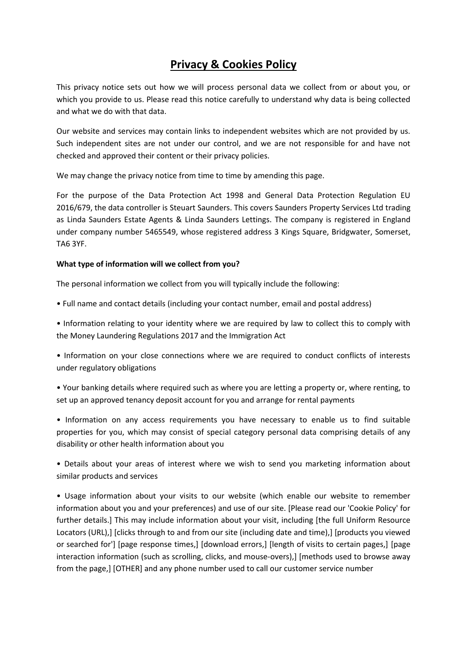# **Privacy & Cookies Policy**

This privacy notice sets out how we will process personal data we collect from or about you, or which you provide to us. Please read this notice carefully to understand why data is being collected and what we do with that data.

Our website and services may contain links to independent websites which are not provided by us. Such independent sites are not under our control, and we are not responsible for and have not checked and approved their content or their privacy policies.

We may change the privacy notice from time to time by amending this page.

For the purpose of the Data Protection Act 1998 and General Data Protection Regulation EU 2016/679, the data controller is Steuart Saunders. This covers Saunders Property Services Ltd trading as Linda Saunders Estate Agents & Linda Saunders Lettings. The company is registered in England under company number 5465549, whose registered address 3 Kings Square, Bridgwater, Somerset, TA6 3YF.

# **What type of information will we collect from you?**

The personal information we collect from you will typically include the following:

• Full name and contact details (including your contact number, email and postal address)

• Information relating to your identity where we are required by law to collect this to comply with the Money Laundering Regulations 2017 and the Immigration Act

• Information on your close connections where we are required to conduct conflicts of interests under regulatory obligations

• Your banking details where required such as where you are letting a property or, where renting, to set up an approved tenancy deposit account for you and arrange for rental payments

• Information on any access requirements you have necessary to enable us to find suitable properties for you, which may consist of special category personal data comprising details of any disability or other health information about you

• Details about your areas of interest where we wish to send you marketing information about similar products and services

• Usage information about your visits to our website (which enable our website to remember information about you and your preferences) and use of our site. [Please read our 'Cookie Policy' for further details.] This may include information about your visit, including [the full Uniform Resource Locators (URL),] [clicks through to and from our site (including date and time),] [products you viewed or searched for'] [page response times,] [download errors,] [length of visits to certain pages,] [page interaction information (such as scrolling, clicks, and mouse-overs),] [methods used to browse away from the page,] [OTHER] and any phone number used to call our customer service number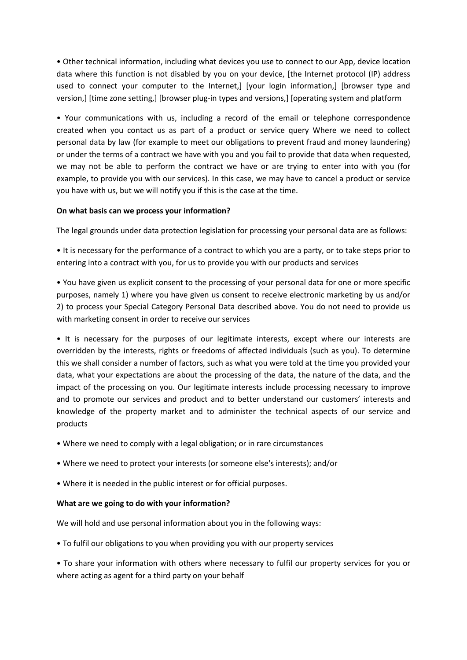• Other technical information, including what devices you use to connect to our App, device location data where this function is not disabled by you on your device, [the Internet protocol (IP) address used to connect your computer to the Internet,] [your login information,] [browser type and version,] [time zone setting,] [browser plug-in types and versions,] [operating system and platform

• Your communications with us, including a record of the email or telephone correspondence created when you contact us as part of a product or service query Where we need to collect personal data by law (for example to meet our obligations to prevent fraud and money laundering) or under the terms of a contract we have with you and you fail to provide that data when requested, we may not be able to perform the contract we have or are trying to enter into with you (for example, to provide you with our services). In this case, we may have to cancel a product or service you have with us, but we will notify you if this is the case at the time.

#### **On what basis can we process your information?**

The legal grounds under data protection legislation for processing your personal data are as follows:

• It is necessary for the performance of a contract to which you are a party, or to take steps prior to entering into a contract with you, for us to provide you with our products and services

• You have given us explicit consent to the processing of your personal data for one or more specific purposes, namely 1) where you have given us consent to receive electronic marketing by us and/or 2) to process your Special Category Personal Data described above. You do not need to provide us with marketing consent in order to receive our services

• It is necessary for the purposes of our legitimate interests, except where our interests are overridden by the interests, rights or freedoms of affected individuals (such as you). To determine this we shall consider a number of factors, such as what you were told at the time you provided your data, what your expectations are about the processing of the data, the nature of the data, and the impact of the processing on you. Our legitimate interests include processing necessary to improve and to promote our services and product and to better understand our customers' interests and knowledge of the property market and to administer the technical aspects of our service and products

- Where we need to comply with a legal obligation; or in rare circumstances
- Where we need to protect your interests (or someone else's interests); and/or
- Where it is needed in the public interest or for official purposes.

#### **What are we going to do with your information?**

We will hold and use personal information about you in the following ways:

• To fulfil our obligations to you when providing you with our property services

• To share your information with others where necessary to fulfil our property services for you or where acting as agent for a third party on your behalf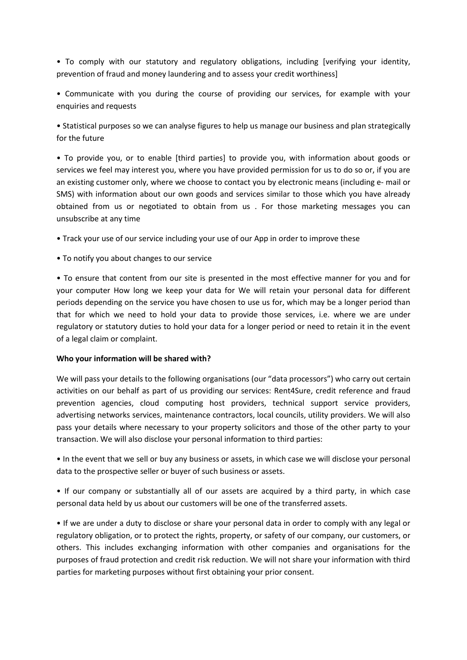• To comply with our statutory and regulatory obligations, including [verifying your identity, prevention of fraud and money laundering and to assess your credit worthiness]

• Communicate with you during the course of providing our services, for example with your enquiries and requests

• Statistical purposes so we can analyse figures to help us manage our business and plan strategically for the future

• To provide you, or to enable [third parties] to provide you, with information about goods or services we feel may interest you, where you have provided permission for us to do so or, if you are an existing customer only, where we choose to contact you by electronic means (including e- mail or SMS) with information about our own goods and services similar to those which you have already obtained from us or negotiated to obtain from us . For those marketing messages you can unsubscribe at any time

• Track your use of our service including your use of our App in order to improve these

• To notify you about changes to our service

• To ensure that content from our site is presented in the most effective manner for you and for your computer How long we keep your data for We will retain your personal data for different periods depending on the service you have chosen to use us for, which may be a longer period than that for which we need to hold your data to provide those services, i.e. where we are under regulatory or statutory duties to hold your data for a longer period or need to retain it in the event of a legal claim or complaint.

#### **Who your information will be shared with?**

We will pass your details to the following organisations (our "data processors") who carry out certain activities on our behalf as part of us providing our services: Rent4Sure, credit reference and fraud prevention agencies, cloud computing host providers, technical support service providers, advertising networks services, maintenance contractors, local councils, utility providers. We will also pass your details where necessary to your property solicitors and those of the other party to your transaction. We will also disclose your personal information to third parties:

• In the event that we sell or buy any business or assets, in which case we will disclose your personal data to the prospective seller or buyer of such business or assets.

• If our company or substantially all of our assets are acquired by a third party, in which case personal data held by us about our customers will be one of the transferred assets.

• If we are under a duty to disclose or share your personal data in order to comply with any legal or regulatory obligation, or to protect the rights, property, or safety of our company, our customers, or others. This includes exchanging information with other companies and organisations for the purposes of fraud protection and credit risk reduction. We will not share your information with third parties for marketing purposes without first obtaining your prior consent.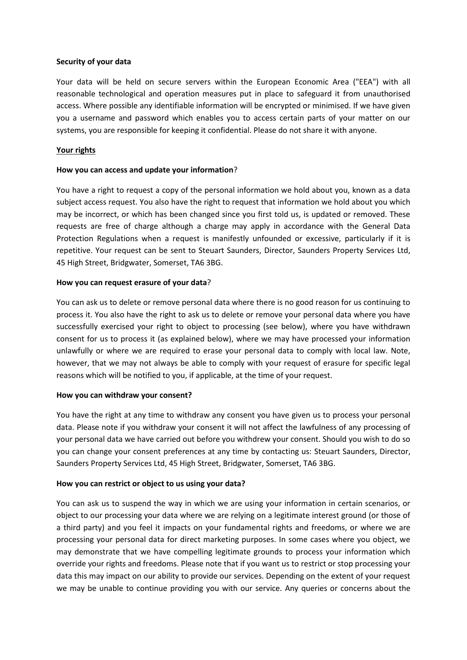#### **Security of your data**

Your data will be held on secure servers within the European Economic Area ("EEA") with all reasonable technological and operation measures put in place to safeguard it from unauthorised access. Where possible any identifiable information will be encrypted or minimised. If we have given you a username and password which enables you to access certain parts of your matter on our systems, you are responsible for keeping it confidential. Please do not share it with anyone.

# **Your rights**

# **How you can access and update your information**?

You have a right to request a copy of the personal information we hold about you, known as a data subject access request. You also have the right to request that information we hold about you which may be incorrect, or which has been changed since you first told us, is updated or removed. These requests are free of charge although a charge may apply in accordance with the General Data Protection Regulations when a request is manifestly unfounded or excessive, particularly if it is repetitive. Your request can be sent to Steuart Saunders, Director, Saunders Property Services Ltd, 45 High Street, Bridgwater, Somerset, TA6 3BG.

# **How you can request erasure of your data**?

You can ask us to delete or remove personal data where there is no good reason for us continuing to process it. You also have the right to ask us to delete or remove your personal data where you have successfully exercised your right to object to processing (see below), where you have withdrawn consent for us to process it (as explained below), where we may have processed your information unlawfully or where we are required to erase your personal data to comply with local law. Note, however, that we may not always be able to comply with your request of erasure for specific legal reasons which will be notified to you, if applicable, at the time of your request.

#### **How you can withdraw your consent?**

You have the right at any time to withdraw any consent you have given us to process your personal data. Please note if you withdraw your consent it will not affect the lawfulness of any processing of your personal data we have carried out before you withdrew your consent. Should you wish to do so you can change your consent preferences at any time by contacting us: Steuart Saunders, Director, Saunders Property Services Ltd, 45 High Street, Bridgwater, Somerset, TA6 3BG.

# **How you can restrict or object to us using your data?**

You can ask us to suspend the way in which we are using your information in certain scenarios, or object to our processing your data where we are relying on a legitimate interest ground (or those of a third party) and you feel it impacts on your fundamental rights and freedoms, or where we are processing your personal data for direct marketing purposes. In some cases where you object, we may demonstrate that we have compelling legitimate grounds to process your information which override your rights and freedoms. Please note that if you want us to restrict or stop processing your data this may impact on our ability to provide our services. Depending on the extent of your request we may be unable to continue providing you with our service. Any queries or concerns about the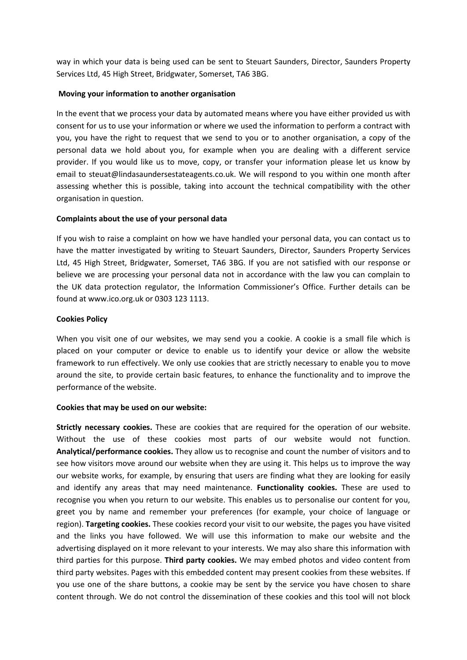way in which your data is being used can be sent to Steuart Saunders, Director, Saunders Property Services Ltd, 45 High Street, Bridgwater, Somerset, TA6 3BG.

### **Moving your information to another organisation**

In the event that we process your data by automated means where you have either provided us with consent for us to use your information or where we used the information to perform a contract with you, you have the right to request that we send to you or to another organisation, a copy of the personal data we hold about you, for example when you are dealing with a different service provider. If you would like us to move, copy, or transfer your information please let us know by email to steuat@lindasaundersestateagents.co.uk. We will respond to you within one month after assessing whether this is possible, taking into account the technical compatibility with the other organisation in question.

# **Complaints about the use of your personal data**

If you wish to raise a complaint on how we have handled your personal data, you can contact us to have the matter investigated by writing to Steuart Saunders, Director, Saunders Property Services Ltd, 45 High Street, Bridgwater, Somerset, TA6 3BG. If you are not satisfied with our response or believe we are processing your personal data not in accordance with the law you can complain to the UK data protection regulator, the Information Commissioner's Office. Further details can be found at www.ico.org.uk or 0303 123 1113.

# **Cookies Policy**

When you visit one of our websites, we may send you a cookie. A cookie is a small file which is placed on your computer or device to enable us to identify your device or allow the website framework to run effectively. We only use cookies that are strictly necessary to enable you to move around the site, to provide certain basic features, to enhance the functionality and to improve the performance of the website.

#### **Cookies that may be used on our website:**

**Strictly necessary cookies.** These are cookies that are required for the operation of our website. Without the use of these cookies most parts of our website would not function. **Analytical/performance cookies.** They allow us to recognise and count the number of visitors and to see how visitors move around our website when they are using it. This helps us to improve the way our website works, for example, by ensuring that users are finding what they are looking for easily and identify any areas that may need maintenance. **Functionality cookies.** These are used to recognise you when you return to our website. This enables us to personalise our content for you, greet you by name and remember your preferences (for example, your choice of language or region). **Targeting cookies.** These cookies record your visit to our website, the pages you have visited and the links you have followed. We will use this information to make our website and the advertising displayed on it more relevant to your interests. We may also share this information with third parties for this purpose. **Third party cookies.** We may embed photos and video content from third party websites. Pages with this embedded content may present cookies from these websites. If you use one of the share buttons, a cookie may be sent by the service you have chosen to share content through. We do not control the dissemination of these cookies and this tool will not block